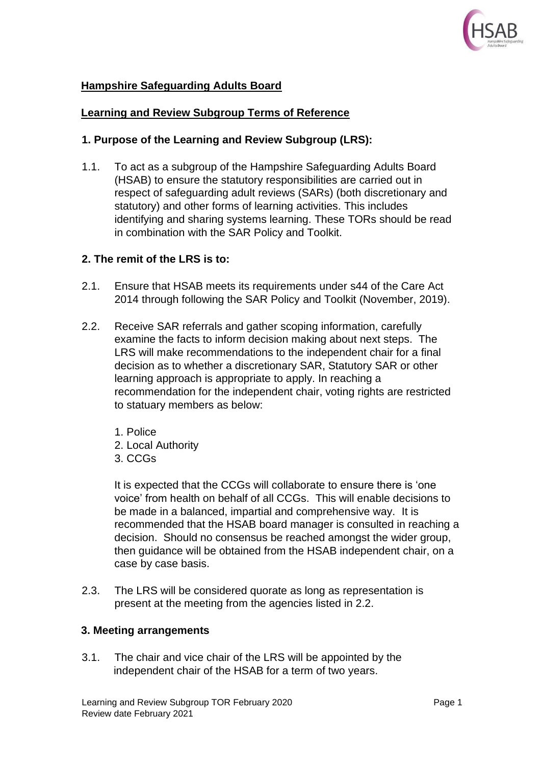

# **Hampshire Safeguarding Adults Board**

### **Learning and Review Subgroup Terms of Reference**

### **1. Purpose of the Learning and Review Subgroup (LRS):**

1.1. To act as a subgroup of the Hampshire Safeguarding Adults Board (HSAB) to ensure the statutory responsibilities are carried out in respect of safeguarding adult reviews (SARs) (both discretionary and statutory) and other forms of learning activities. This includes identifying and sharing systems learning. These TORs should be read in combination with the SAR Policy and Toolkit.

### **2. The remit of the LRS is to:**

- 2.1. Ensure that HSAB meets its requirements under s44 of the Care Act 2014 through following the SAR Policy and Toolkit (November, 2019).
- 2.2. Receive SAR referrals and gather scoping information, carefully examine the facts to inform decision making about next steps. The LRS will make recommendations to the independent chair for a final decision as to whether a discretionary SAR, Statutory SAR or other learning approach is appropriate to apply. In reaching a recommendation for the independent chair, voting rights are restricted to statuary members as below:
	- 1. Police
	- 2. Local Authority
	- 3. CCGs

It is expected that the CCGs will collaborate to ensure there is 'one voice' from health on behalf of all CCGs. This will enable decisions to be made in a balanced, impartial and comprehensive way. It is recommended that the HSAB board manager is consulted in reaching a decision. Should no consensus be reached amongst the wider group, then guidance will be obtained from the HSAB independent chair, on a case by case basis.

2.3. The LRS will be considered quorate as long as representation is present at the meeting from the agencies listed in 2.2.

#### **3. Meeting arrangements**

3.1. The chair and vice chair of the LRS will be appointed by the independent chair of the HSAB for a term of two years.